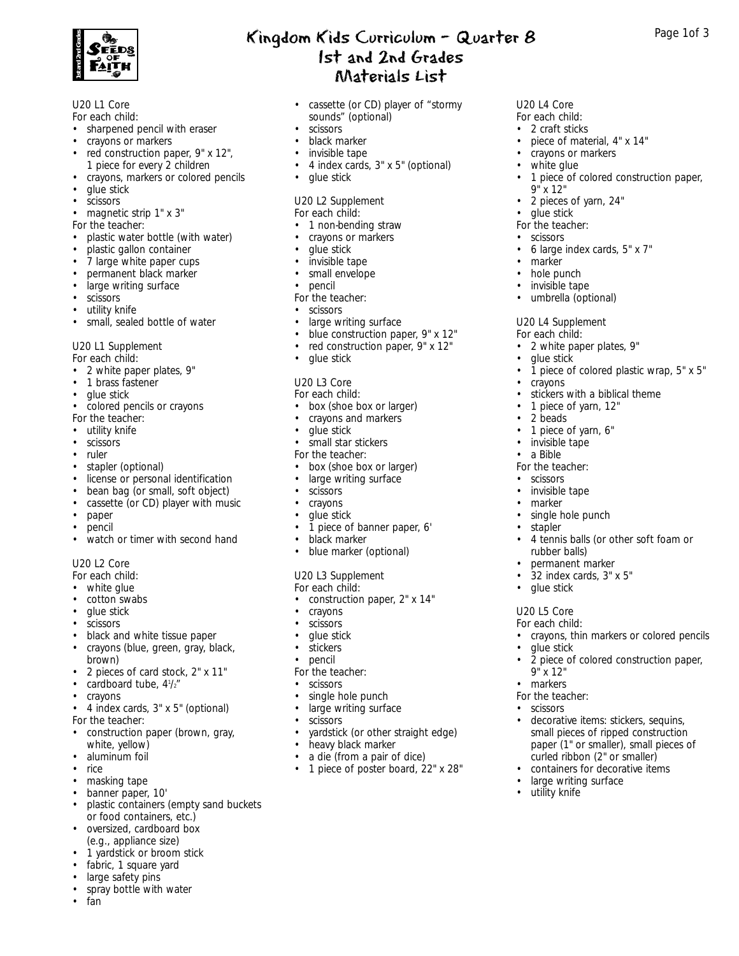

#### U20 L1 Core *For each child:*

- sharpened pencil with eraser
- crayons or markers
- red construction paper, 9" x 12", 1 piece for every 2 children
- crayons, markers or colored pencils
- glue stick
- scissors
- magnetic strip 1" x 3"
- *For the teacher:*
- plastic water bottle (with water)
- plastic gallon container
- 7 large white paper cups
- permanent black marker
- large writing surface
- **scissors**
- utility knife
- small, sealed bottle of water

#### U20 L1 Supplement

*For each child:*

- 2 white paper plates, 9"
- 1 brass fastener
- glue stick
- colored pencils or crayons
- *For the teacher:*
- utility knife
- scissors
- ruler
- stapler (optional)
- license or personal identification
- bean bag (or small, soft object)
- cassette (or CD) player with music
- paper
- pencil
- watch or timer with second hand

### U20 L2 Core

- *For each child:*
- white glue
- cotton swabs
- glue stick
- **scissors**
- black and white tissue paper
- crayons (blue, green, gray, black, brown)
- 2 pieces of card stock,  $2^{\circ}$  x 11"<br>• cardboard tube  $4^{1}/x^{\circ}$
- cardboard tube, 4<sup>1</sup>/2"
- crayons
- 4 index cards, 3" x 5" (optional) *For the teacher:*
- construction paper (brown, gray, white, yellow)
- aluminum foil
- rice
- masking tape
- banner paper, 10'
- plastic containers (empty sand buckets or food containers, etc.)
- oversized, cardboard box (e.g., appliance size)
- 1 yardstick or broom stick
- fabric, 1 square yard
- large safety pins
- spray bottle with water<br>• fan
- fan
- Kingdom Kids Curriculum Quarter  $8$  Page 1of 3 1st and 2nd Grades Materials List
	- cassette (or CD) player of "stormy sounds" (optional)

U20 L4 Core *For each child:* • 2 craft sticks

9" x 12"

• glue stick *For the teacher:* • scissors

• marker • hole punch • invisible tape • umbrella (optional)

U20 L4 Supplement *For each child:*

• glue stick

• crayons

2 beads • 1 piece of yarn, 6" • invisible tape • a Bible *For the teacher:* • scissors • invisible tape • marker • single hole punch • stapler

> rubber balls) • permanent marker • 32 index cards, 3" x 5"

• glue stick U20 L5 Core *For each child:*

• glue stick

9" x 12" • markers *For the teacher:* • scissors

• large writing surface

• utility knife

• 2 white paper plates, 9"

stickers with a biblical theme • 1 piece of yarn, 12"

• 4 tennis balls (or other soft foam or

• crayons, thin markers or colored pencils

• 2 piece of colored construction paper,

• decorative items: stickers, sequins, small pieces of ripped construction paper (1" or smaller), small pieces of curled ribbon (2" or smaller) • containers for decorative items

• piece of material, 4" x 14" • crayons or markers white glue

• 2 pieces of yarn, 24"

• 6 large index cards, 5" x 7"

• 1 piece of colored construction paper,

• 1 piece of colored plastic wrap, 5" x 5"

- scissors
- black marker
- invisible tape
- 4 index cards, 3" x 5" (optional)
- glue stick

### U20 L2 Supplement

#### *For each child:*

- 1 non-bending straw
- crayons or markers
- glue stick
- invisible tape
- small envelope
- pencil
- *For the teacher:*
- scissors
- large writing surface
- blue construction paper, 9" x 12"
- red construction paper, 9" x 12"
- glue stick

### U20 L3 Core

- *For each child:*
- box (shoe box or larger)
- crayons and markers
- glue stick
- small star stickers
- *For the teacher:*
- box (shoe box or larger)
- large writing surface
- scissors
- crayons
- glue stick
- 1 piece of banner paper, 6'
- black marker
- blue marker (optional)

single hole punch • large writing surface

• heavy black marker a die (from a pair of dice) • 1 piece of poster board, 22" x 28"

• yardstick (or other straight edge)

### U20 L3 Supplement

- *For each child:*
- construction paper, 2" x 14"
- crayons
- scissors • glue stick

• stickers • pencil *For the teacher:* • scissors<br>• single h

**scissors**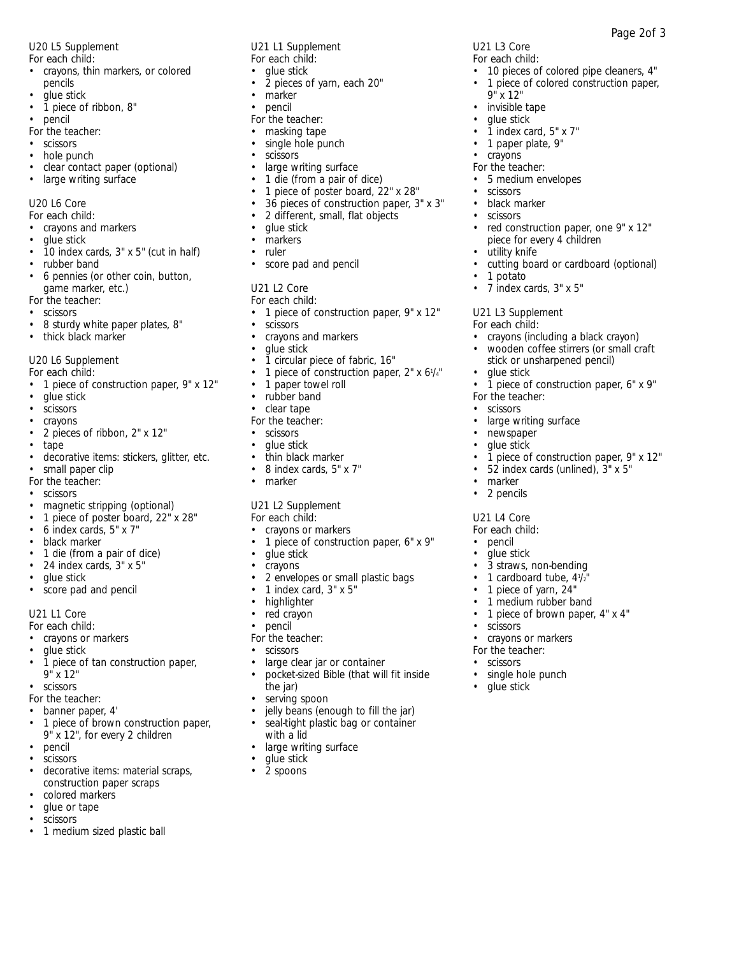U20 L5 Supplement

- *For each child:* • crayons, thin markers, or colored pencils
- glue stick
- 1 piece of ribbon, 8"
- pencil
- *For the teacher:*
- scissors
- hole punch
- clear contact paper (optional)
- large writing surface

U20 L6 Core

- *For each child:*
- crayons and markers
- glue stick
- 10 index cards, 3" x 5" (cut in half)
- rubber band
- 6 pennies (or other coin, button, game marker, etc.) *For the teacher:*
- scissors
- 
- 8 sturdy white paper plates, 8"
- thick black marker

U20 L6 Supplement

- *For each child:*
- 1 piece of construction paper, 9" x 12"
- glue stick
- **scissors**
- crayons
- 2 pieces of ribbon, 2" x 12"
- tape
- decorative items: stickers, glitter, etc.
- small paper clip
- *For the teacher:*
- scissors
- magnetic stripping (optional)
- 1 piece of poster board, 22" x 28"
- 6 index cards, 5" x 7"
- black marker
- 1 die (from a pair of dice)
- 24 index cards, 3" x 5"
- glue stick
- score pad and pencil

### U21 L1 Core

*For each child:*

- crayons or markers
- glue stick
- 1 piece of tan construction paper, 9" x 12"
- scissors
- *For the teacher:*
- banner paper, 4'
- 1 piece of brown construction paper, 9" x 12", for every 2 children
- pencil
- scissors
- decorative items: material scraps, construction paper scraps
- colored markers
- glue or tape
- scissors
- 1 medium sized plastic ball

U21 L1 Supplement *For each child:*

- glue stick
- 2 pieces of yarn, each 20"
- marker
- pencil
- *For the teacher:*
- masking tape
- single hole punch
- scissors<br>• large w
- large writing surface
- 1 die (from a pair of dice)
- 1 piece of poster board, 22" x 28"
- 36 pieces of construction paper, 3" x 3"

U21 L3 Core *For each child:*

9" x 12" • invisible tape • glue stick  $\bullet$   $\bar{1}$  index card, 5" x 7" • 1 paper plate, 9" • crayons *For the teacher:* • 5 medium envelopes

**scissors** • black marker • scissors

utility knife

• 7 index cards, 3" x 5"

U21 L3 Supplement *For each child:*

• glue stick

*For the teacher:* • scissors

> • newspaper glue stick

• marker • 2 pencils U21 L4 Core *For each child:* • pencil • glue stick

• scissors

large writing surface

3 straws, non-bending • 1 cardboard tube, 4<sup>1</sup>/<sub>2</sub>" • 1 piece of yarn, 24" • 1 medium rubber band • 1 piece of brown paper, 4" x 4"

• crayons or markers *For the teacher:* • scissors

• single hole punch • glue stick

• 1 potato

• 10 pieces of colored pipe cleaners, 4" • 1 piece of colored construction paper,

Page 2of 3

• red construction paper, one 9" x 12" piece for every 4 children

• cutting board or cardboard (optional)

• crayons (including a black crayon) • wooden coffee stirrers (or small craft stick or unsharpened pencil)

• 1 piece of construction paper, 6" x 9"

• 1 piece of construction paper, 9" x 12"

• 52 index cards (unlined), 3" x 5"

- 2 different, small, flat objects
- glue stick
- markers
- ruler
- score pad and pencil

# U21 L2 Core

### *For each child:*

- 1 piece of construction paper, 9" x 12"
- scissors<br>• crayons
- crayons and markers
- glue stick
- 1 circular piece of fabric, 16"
- 1 piece of construction paper, 2" x 6<sup>1</sup>/<sub>4</sub>"
- 1 paper towel roll
- rubber band
- clear tape
- *For the teacher:*
- scissors
- glue stick
- thin black marker
- 8 index cards, 5" x 7"
- marker

### U21 L2 Supplement

- *For each child:*
- crayons or markers<br>• 1 piece of construct
- 1 piece of construction paper, 6" x 9"
- glue stick<br>• cravons
- crayons
- 2 envelopes or small plastic bags

large clear jar or container • pocket-sized Bible (that will fit inside

jelly beans (enough to fill the jar) seal-tight plastic bag or container

• 1 index card, 3" x 5" • highlighter

• red crayon pencil *For the teacher:* **scissors** 

> the jar) serving spoon

with a lid

glue stick • 2 spoons

large writing surface